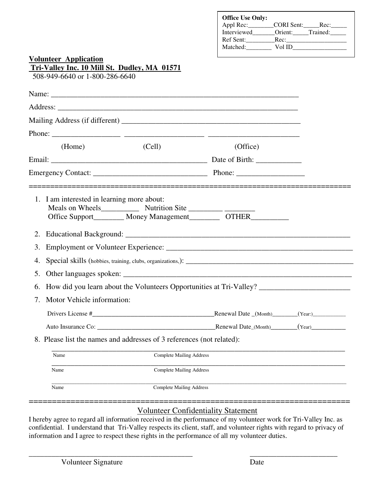|                      | <b>Volunteer Application</b>                                                                                                                              |                                 | <b>Office Use Only:</b><br>Appl Rec: __________CORI Sent: _______Rec: ______<br>Interviewed_______Orient:_____Trained:_____                                                                                                              |  |
|----------------------|-----------------------------------------------------------------------------------------------------------------------------------------------------------|---------------------------------|------------------------------------------------------------------------------------------------------------------------------------------------------------------------------------------------------------------------------------------|--|
|                      | Tri-Valley Inc. 10 Mill St. Dudley, MA 01571<br>508-949-6640 or 1-800-286-6640                                                                            |                                 |                                                                                                                                                                                                                                          |  |
|                      |                                                                                                                                                           |                                 |                                                                                                                                                                                                                                          |  |
|                      |                                                                                                                                                           |                                 |                                                                                                                                                                                                                                          |  |
|                      |                                                                                                                                                           |                                 |                                                                                                                                                                                                                                          |  |
|                      |                                                                                                                                                           |                                 |                                                                                                                                                                                                                                          |  |
|                      |                                                                                                                                                           |                                 |                                                                                                                                                                                                                                          |  |
|                      | (Home)                                                                                                                                                    | (Cell)                          | (Office)                                                                                                                                                                                                                                 |  |
|                      |                                                                                                                                                           |                                 |                                                                                                                                                                                                                                          |  |
|                      |                                                                                                                                                           |                                 |                                                                                                                                                                                                                                          |  |
| 3.<br>4.<br>5.<br>7. | 1. I am interested in learning more about:<br>Motor Vehicle information:<br>8. Please list the names and addresses of 3 references (not related):<br>Name | <b>Complete Mailing Address</b> | Office Support________ Money Management__________ OTHER__________<br>6. How did you learn about the Volunteers Opportunities at Tri-Valley? _____________________________<br>Renewal Date (Month) (Year:)<br>Renewal Date_(Month) (Year) |  |
|                      | Name                                                                                                                                                      | <b>Complete Mailing Address</b> |                                                                                                                                                                                                                                          |  |
|                      | Name                                                                                                                                                      | Complete Mailing Address        |                                                                                                                                                                                                                                          |  |

## Volunteer Confidentiality Statement

I hereby agree to regard all information received in the performance of my volunteer work for Tri-Valley Inc. as confidential. I understand that Tri-Valley respects its client, staff, and volunteer rights with regard to privacy of information and I agree to respect these rights in the performance of all my volunteer duties.

\_\_\_\_\_\_\_\_\_\_\_\_\_\_\_\_\_\_\_\_\_\_\_\_\_\_\_\_\_\_\_\_\_\_\_\_\_\_\_\_\_\_\_ \_\_\_\_\_\_\_\_\_\_\_\_\_\_\_\_\_\_\_\_\_\_\_